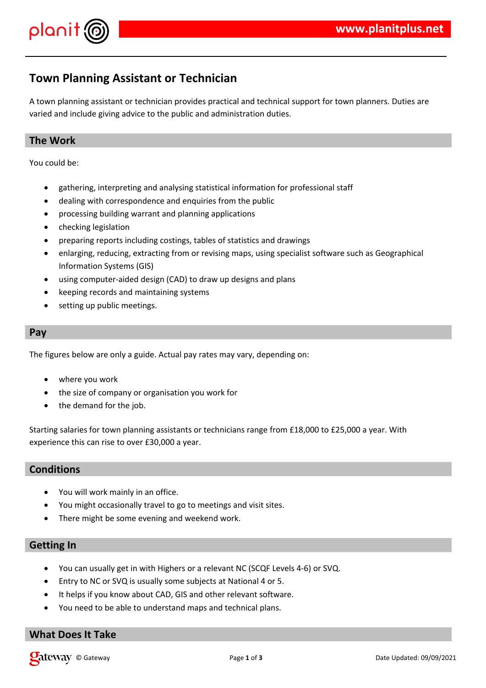

## **Town Planning Assistant or Technician**

A town planning assistant or technician provides practical and technical support for town planners. Duties are varied and include giving advice to the public and administration duties.

### **The Work**

You could be:

- gathering, interpreting and analysing statistical information for professional staff
- dealing with correspondence and enquiries from the public
- processing building warrant and planning applications
- checking legislation
- preparing reports including costings, tables of statistics and drawings
- enlarging, reducing, extracting from or revising maps, using specialist software such as Geographical Information Systems (GIS)
- using computer-aided design (CAD) to draw up designs and plans
- keeping records and maintaining systems
- setting up public meetings.

#### **Pay**

The figures below are only a guide. Actual pay rates may vary, depending on:

- where you work
- the size of company or organisation you work for
- the demand for the job.

Starting salaries for town planning assistants or technicians range from £18,000 to £25,000 a year. With experience this can rise to over £30,000 a year.

#### **Conditions**

- You will work mainly in an office.
- You might occasionally travel to go to meetings and visit sites.
- There might be some evening and weekend work.

#### **Getting In**

- You can usually get in with Highers or a relevant NC (SCQF Levels 4-6) or SVQ.
- Entry to NC or SVQ is usually some subjects at National 4 or 5.
- It helps if you know about CAD, GIS and other relevant software.
- You need to be able to understand maps and technical plans.

### **What Does It Take**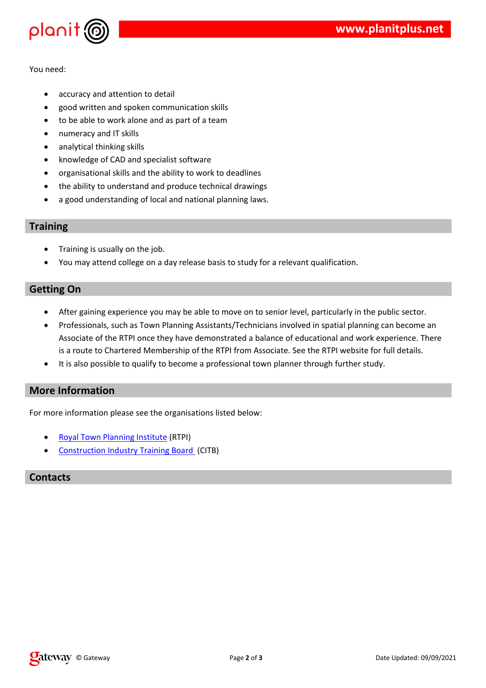



|        | and a state of the | 0 <sup>1</sup> |                                                                                                                                                                                                                                                                                                           |  |
|--------|--------------------|----------------|-----------------------------------------------------------------------------------------------------------------------------------------------------------------------------------------------------------------------------------------------------------------------------------------------------------|--|
| $\#$ " |                    |                | $\frac{1}{2}$ , $\frac{1}{2}$ , $\frac{1}{2}$ , $\frac{1}{2}$ , $\frac{1}{2}$ , $\frac{1}{2}$ , $\frac{1}{2}$ , $\frac{1}{2}$ , $\frac{1}{2}$ , $\frac{1}{2}$ , $\frac{1}{2}$ , $\frac{1}{2}$ , $\frac{1}{2}$ , $\frac{1}{2}$ , $\frac{1}{2}$ , $\frac{1}{2}$ , $\frac{1}{2}$ , $\frac{1}{2}$ , $\frac{1$ |  |

|               | $\mathbf{y} = \mathbf{y} + \mathbf{y}$ , where $\mathbf{y} = \mathbf{y} + \mathbf{y}$ , where $\mathbf{y} = \mathbf{y} + \mathbf{y}$ |                   |                   |  |
|---------------|--------------------------------------------------------------------------------------------------------------------------------------|-------------------|-------------------|--|
| $\sim$ $\sim$ |                                                                                                                                      | <b>Contractor</b> |                   |  |
| $?$ . (       | $\label{eq:1.1} \mathbf{H}_{\text{max}} = \mathbf{H}_{\text{max}} + \mathbf{H}_{\text{max}}$                                         |                   |                   |  |
| $-$ @ "!      |                                                                                                                                      |                   | $?$ ". ( ) ?. ( ! |  |
|               | %!<br>$\mathbf{H}$                                                                                                                   |                   |                   |  |

#### $\mathbf{I}$  $\mathbf{u}_\parallel$

 $\overline{9}$  $\hat{\theta}$  $\mathbf{u}$  $\frac{1}{2}$ 

> $( * ? . (+$ <br>A \* - (.A +  $\frac{?}{}$  $\sqrt{2}$  $\mathbf{r}$